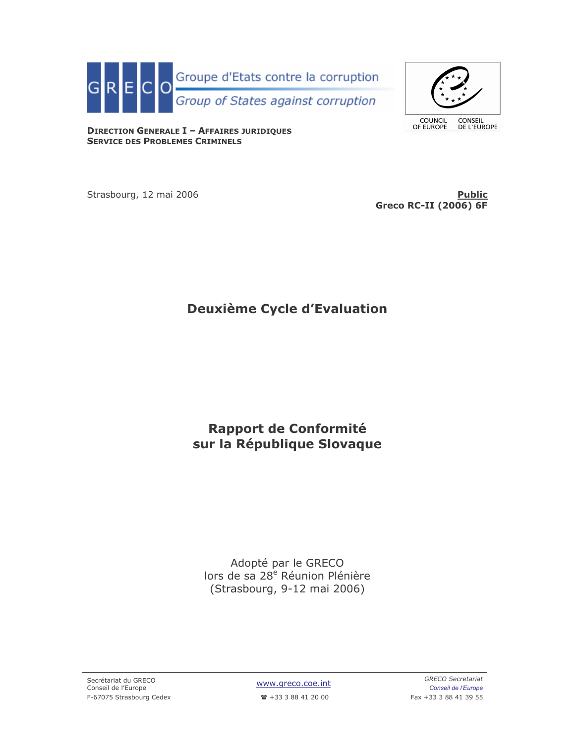

COUNCIL<br>OF EUROPE

CONSEIL<br>DE L'EUROPE

**DIRECTION GENERALE I - AFFAIRES JURIDIQUES SERVICE DES PROBLEMES CRIMINELS** 

Strasbourg, 12 mai 2006

**Public Greco RC-II (2006) 6F** 

# **Deuxième Cycle d'Evaluation**

# Rapport de Conformité sur la République Slovaque

Adopté par le GRECO lors de sa 28<sup>e</sup> Réunion Plénière (Strasbourg, 9-12 mai 2006)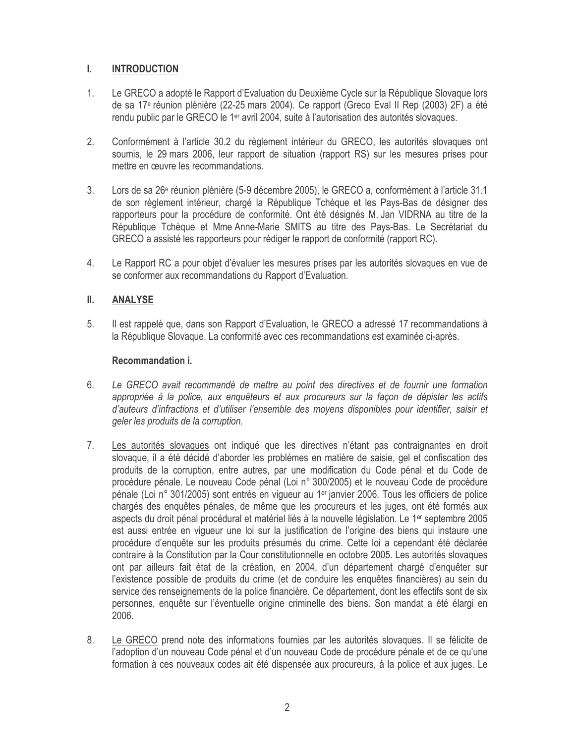#### $\mathbf{L}$ **INTRODUCTION**

- $1.$ Le GRECO a adopté le Rapport d'Evaluation du Deuxième Cycle sur la République Slovaque lors de sa 17<sup>e</sup> réunion plénière (22-25 mars 2004). Ce rapport (Greco Eval II Rep (2003) 2F) a été rendu public par le GRECO le 1<sup>er</sup> avril 2004, suite à l'autorisation des autorités slovaques.
- $2.$ Conformément à l'article 30.2 du règlement intérieur du GRECO, les autorités slovaques ont soumis, le 29 mars 2006, leur rapport de situation (rapport RS) sur les mesures prises pour mettre en œuvre les recommandations.
- $3.$ Lors de sa 26<sup>e</sup> réunion plénière (5-9 décembre 2005), le GRECO a, conformément à l'article 31.1 de son règlement intérieur, chargé la République Tchèque et les Pays-Bas de désigner des rapporteurs pour la procédure de conformité. Ont été désignés M. Jan VIDRNA au titre de la République Tchèque et Mme Anne-Marie SMITS au titre des Pays-Bas. Le Secrétariat du GRECO a assisté les rapporteurs pour rédiger le rapport de conformité (rapport RC).
- $4.$ Le Rapport RC a pour objet d'évaluer les mesures prises par les autorités slovaques en vue de se conformer aux recommandations du Rapport d'Evaluation.

#### Ш. **ANALYSE**

5. Il est rappelé que, dans son Rapport d'Evaluation, le GRECO a adressé 17 recommandations à la République Slovaque. La conformité avec ces recommandations est examinée ci-après.

## Recommandation i.

- 6. Le GRECO avait recommandé de mettre au point des directives et de fournir une formation appropriée à la police, aux enquêteurs et aux procureurs sur la façon de dépister les actifs d'auteurs d'infractions et d'utiliser l'ensemble des moyens disponibles pour identifier, saisir et geler les produits de la corruption.
- $7<sup>1</sup>$ Les autorités slovaques ont indiqué que les directives n'étant pas contraignantes en droit slovaque. il a été décidé d'aborder les problèmes en matière de saisie, gel et confiscation des produits de la corruption, entre autres, par une modification du Code pénal et du Code de procédure pénale. Le nouveau Code pénal (Loi n° 300/2005) et le nouveau Code de procédure pénale (Loi n° 301/2005) sont entrés en vigueur au 1<sup>er</sup> janvier 2006. Tous les officiers de police chargés des enquêtes pénales, de même que les procureurs et les juges, ont été formés aux aspects du droit pénal procédural et matériel liés à la nouvelle législation. Le 1<sup>er</sup> septembre 2005 est aussi entrée en vigueur une loi sur la justification de l'origine des biens qui instaure une procédure d'enquête sur les produits présumés du crime. Cette loi a cependant été déclarée contraire à la Constitution par la Cour constitutionnelle en octobre 2005. Les autorités slovaques ont par ailleurs fait état de la création, en 2004, d'un département chargé d'enquêter sur l'existence possible de produits du crime (et de conduire les enquêtes financières) au sein du service des renseignements de la police financière. Ce département, dont les effectifs sont de six personnes, enquête sur l'éventuelle origine criminelle des biens. Son mandat a été élargi en 2006.
- 8. Le GRECO prend note des informations fournies par les autorités slovagues. Il se félicite de l'adoption d'un nouveau Code pénal et d'un nouveau Code de procédure pénale et de ce qu'une formation à ces nouveaux codes ait été dispensée aux procureurs, à la police et aux juges. Le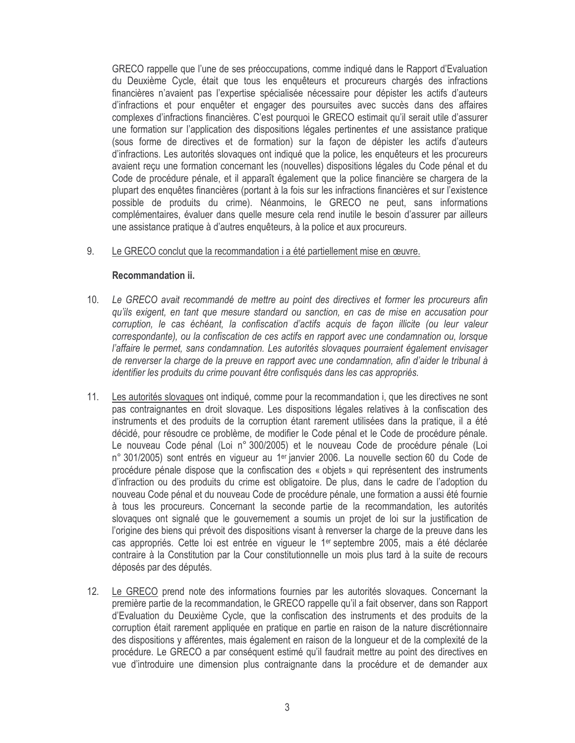GRECO rappelle que l'une de ses préoccupations, comme indiqué dans le Rapport d'Evaluation du Deuxième Cycle, était que tous les enquêteurs et procureurs chargés des infractions financières n'avaient pas l'expertise spécialisée nécessaire pour dépister les actifs d'auteurs d'infractions et pour enquêter et engager des poursuites avec succès dans des affaires complexes d'infractions financières. C'est pourquoi le GRECO estimait qu'il serait utile d'assurer une formation sur l'application des dispositions légales pertinentes et une assistance pratique (sous forme de directives et de formation) sur la façon de dépister les actifs d'auteurs d'infractions. Les autorités slovaques ont indiqué que la police, les enquêteurs et les procureurs avaient reçu une formation concernant les (nouvelles) dispositions légales du Code pénal et du Code de procédure pénale, et il apparaît également que la police financière se chargera de la plupart des enquêtes financières (portant à la fois sur les infractions financières et sur l'existence possible de produits du crime). Néanmoins, le GRECO ne peut, sans informations complémentaires, évaluer dans quelle mesure cela rend inutile le besoin d'assurer par ailleurs une assistance pratique à d'autres enquêteurs, à la police et aux procureurs.

#### 9. Le GRECO conclut que la recommandation i a été partiellement mise en œuvre.

### Recommandation ii.

- Le GRECO avait recommandé de mettre au point des directives et former les procureurs afin  $10.$ qu'ils exigent, en tant que mesure standard ou sanction, en cas de mise en accusation pour corruption, le cas échéant, la confiscation d'actifs acquis de façon illicite (ou leur valeur correspondante), ou la confiscation de ces actifs en rapport avec une condamnation ou, lorsque l'affaire le permet, sans condamnation. Les autorités slovaques pourraient également envisager de renverser la charge de la preuve en rapport avec une condamnation, afin d'aider le tribunal à identifier les produits du crime pouvant être confisqués dans les cas appropriés.
- $11.$ Les autorités slovaques ont indiqué, comme pour la recommandation i, que les directives ne sont pas contraignantes en droit slovaque. Les dispositions légales relatives à la confiscation des instruments et des produits de la corruption étant rarement utilisées dans la pratique, il a été décidé, pour résoudre ce problème, de modifier le Code pénal et le Code de procédure pénale. Le nouveau Code pénal (Loi n° 300/2005) et le nouveau Code de procédure pénale (Loi n° 301/2005) sont entrés en vigueur au 1<sup>er</sup> janvier 2006. La nouvelle section 60 du Code de procédure pénale dispose que la confiscation des « objets » qui représentent des instruments d'infraction ou des produits du crime est obligatoire. De plus, dans le cadre de l'adoption du nouveau Code pénal et du nouveau Code de procédure pénale, une formation a aussi été fournie à tous les procureurs. Concernant la seconde partie de la recommandation, les autorités slovagues ont signalé que le gouvernement a soumis un projet de loi sur la justification de l'origine des biens qui prévoit des dispositions visant à renverser la charge de la preuve dans les cas appropriés. Cette loi est entrée en vigueur le 1<sup>er</sup> septembre 2005, mais a été déclarée contraire à la Constitution par la Cour constitutionnelle un mois plus tard à la suite de recours déposés par des députés.
- $12.$ Le GRECO prend note des informations fournies par les autorités slovagues. Concernant la première partie de la recommandation, le GRECO rappelle qu'il a fait observer, dans son Rapport d'Evaluation du Deuxième Cycle, que la confiscation des instruments et des produits de la corruption était rarement appliquée en pratique en partie en raison de la nature discrétionnaire des dispositions y afférentes, mais également en raison de la longueur et de la complexité de la procédure. Le GRECO a par conséquent estimé qu'il faudrait mettre au point des directives en vue d'introduire une dimension plus contraignante dans la procédure et de demander aux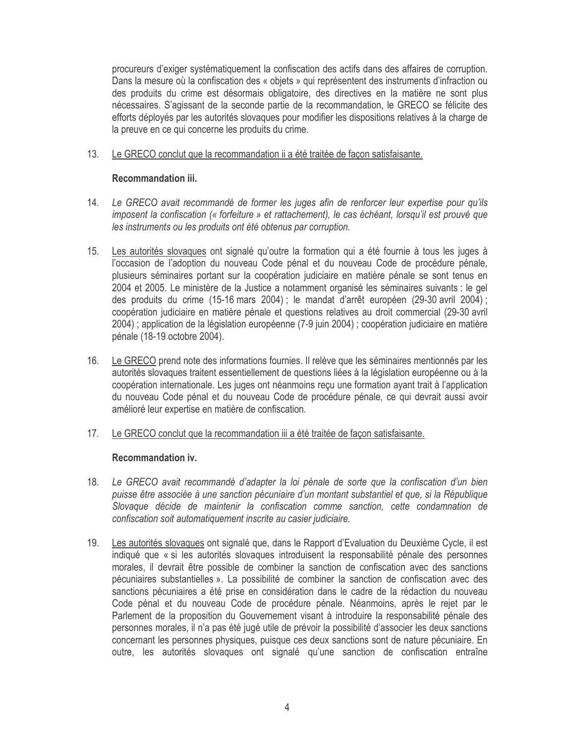procureurs d'exiger systématiquement la confiscation des actifs dans des affaires de corruption. Dans la mesure où la confiscation des « objets » qui représentent des instruments d'infraction ou des produits du crime est désormais obligatoire, des directives en la matière ne sont plus nécessaires. S'agissant de la seconde partie de la recommandation, le GRECO se félicite des efforts déployés par les autorités slovaques pour modifier les dispositions relatives à la charge de la preuve en ce qui concerne les produits du crime.

#### $13.$ Le GRECO conclut que la recommandation ii a été traitée de façon satisfaisante.

## Recommandation iii.

- Le GRECO avait recommandé de former les juges afin de renforcer leur expertise pour qu'ils 14. imposent la confiscation (« forfeiture » et rattachement), le cas échéant, lorsqu'il est prouvé que les instruments ou les produits ont été obtenus par corruption.
- Les autorités slovagues ont signalé qu'outre la formation qui a été fournie à tous les juges à  $15.$ l'occasion de l'adoption du nouveau Code pénal et du nouveau Code de procédure pénale, plusieurs séminaires portant sur la coopération judiciaire en matière pénale se sont tenus en 2004 et 2005. Le ministère de la Justice a notamment organisé les séminaires suivants : le gel des produits du crime (15-16 mars 2004); le mandat d'arrêt européen (29-30 avril 2004); coopération judiciaire en matière pénale et questions relatives au droit commercial (29-30 avril 2004) ; application de la législation européenne (7-9 juin 2004) ; coopération judiciaire en matière pénale (18-19 octobre 2004).
- $16.$ Le GRECO prend note des informations fournies. Il relève que les séminaires mentionnés par les autorités slovaques traitent essentiellement de questions liées à la législation européenne ou à la coopération internationale. Les juges ont néanmoins reçu une formation ayant trait à l'application du nouveau Code pénal et du nouveau Code de procédure pénale, ce qui devrait aussi avoir amélioré leur expertise en matière de confiscation.
- $17.$ Le GRECO conclut que la recommandation iii a été traitée de façon satisfaisante.

### Recommandation iv.

- 18. Le GRECO avait recommandé d'adapter la loi pénale de sorte que la confiscation d'un bien puisse être associée à une sanction pécuniaire d'un montant substantiel et que, si la République Slovaque décide de maintenir la confiscation comme sanction, cette condamnation de confiscation soit automatiquement inscrite au casier judiciaire.
- 19. Les autorités slovaques ont signalé que, dans le Rapport d'Evaluation du Deuxième Cycle, il est indiqué que « si les autorités slovaques introduisent la responsabilité pénale des personnes morales, il devrait être possible de combiner la sanction de confiscation avec des sanctions pécuniaires substantielles ». La possibilité de combiner la sanction de confiscation avec des sanctions pécuniaires a été prise en considération dans le cadre de la rédaction du nouveau Code pénal et du nouveau Code de procédure pénale. Néanmoins, après le rejet par le Parlement de la proposition du Gouvernement visant à introduire la responsabilité pénale des personnes morales, il n'a pas été jugé utile de prévoir la possibilité d'associer les deux sanctions concernant les personnes physiques, puisque ces deux sanctions sont de nature pécuniaire. En outre, les autorités slovaques ont signalé qu'une sanction de confiscation entraîne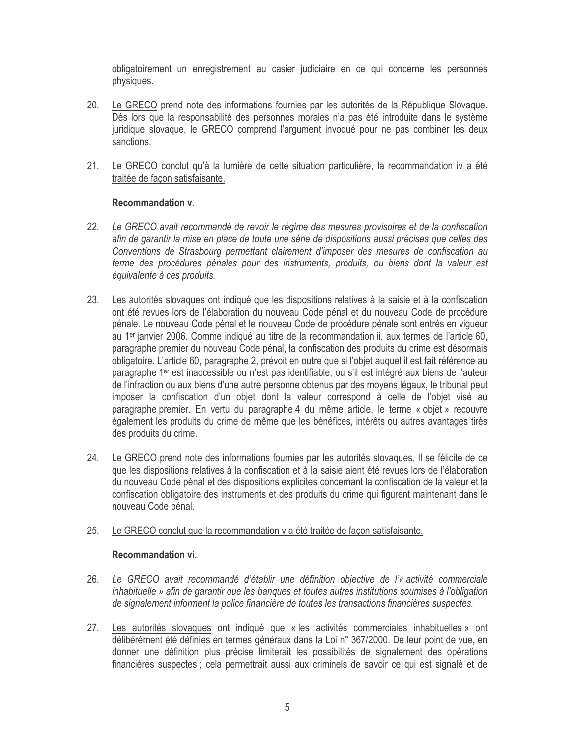obligatoirement un enregistrement au casier judiciaire en ce qui concerne les personnes physiques.

- 20. Le GRECO prend note des informations fournies par les autorités de la République Slovaque. Dès lors que la responsabilité des personnes morales n'a pas été introduite dans le système juridique slovaque, le GRECO comprend l'argument invoqué pour ne pas combiner les deux sanctions.
- $21.$ Le GRECO conclut qu'à la lumière de cette situation particulière, la recommandation iv a été traitée de façon satisfaisante.

### **Recommandation v.**

- $22.$ Le GRECO avait recommandé de revoir le régime des mesures provisoires et de la confiscation afin de garantir la mise en place de toute une série de dispositions aussi précises que celles des Conventions de Strasbourg permettant clairement d'imposer des mesures de confiscation au terme des procédures pénales pour des instruments, produits, ou biens dont la valeur est équivalente à ces produits.
- $23.$ Les autorités slovaques ont indiqué que les dispositions relatives à la saisie et à la confiscation ont été revues lors de l'élaboration du nouveau Code pénal et du nouveau Code de procédure pénale. Le nouveau Code pénal et le nouveau Code de procédure pénale sont entrés en viqueur au 1<sup>er</sup> janvier 2006. Comme indiqué au titre de la recommandation ji, aux termes de l'article 60. paragraphe premier du nouveau Code pénal, la confiscation des produits du crime est désormais obligatoire. L'article 60, paragraphe 2, prévoit en outre que si l'objet auquel il est fait référence au paragraphe 1<sup>er</sup> est inaccessible ou n'est pas identifiable, ou s'il est intégré aux biens de l'auteur de l'infraction ou aux biens d'une autre personne obtenus par des moyens légaux, le tribunal peut imposer la confiscation d'un objet dont la valeur correspond à celle de l'objet visé au paragraphe premier. En vertu du paragraphe 4 du même article, le terme « objet » recouvre également les produits du crime de même que les bénéfices, intérêts ou autres avantages tirés des produits du crime.
- 24. Le GRECO prend note des informations fournies par les autorités slovagues. Il se félicite de ce que les dispositions relatives à la confiscation et à la saisie aient été revues lors de l'élaboration du nouveau Code pénal et des dispositions explicites concernant la confiscation de la valeur et la confiscation obligatoire des instruments et des produits du crime qui figurent maintenant dans le nouveau Code pénal.

#### $25.$ Le GRECO conclut que la recommandation v a été traitée de façon satisfaisante.

### Recommandation vi.

- $26.$ Le GRECO avait recommandé d'établir une définition objective de l'« activité commerciale inhabituelle » afin de garantir que les banques et toutes autres institutions soumises à l'obligation de signalement informent la police financière de toutes les transactions financières suspectes.
- Les autorités slovaques ont indiqué que « les activités commerciales inhabituelles » ont 27. délibérément été définies en termes généraux dans la Loi n° 367/2000. De leur point de vue, en donner une définition plus précise limiterait les possibilités de signalement des opérations financières suspectes ; cela permettrait aussi aux criminels de savoir ce qui est signalé et de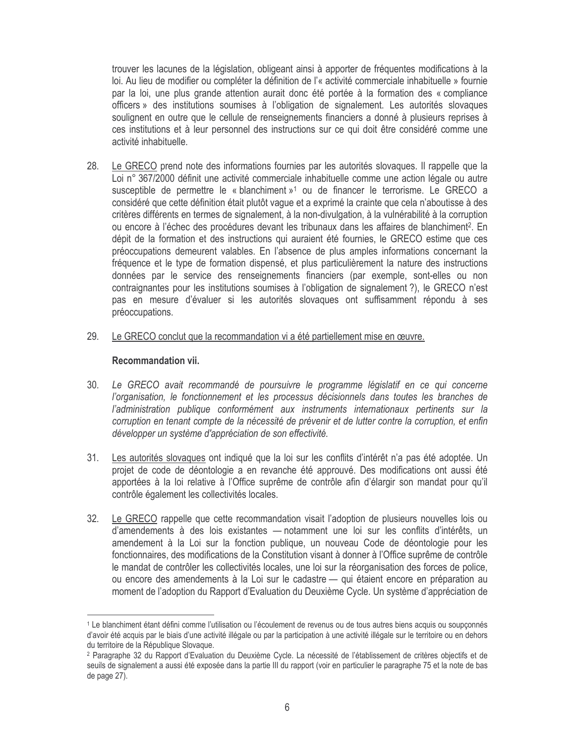trouver les lacunes de la législation, obligeant ainsi à apporter de fréquentes modifications à la loi. Au lieu de modifier ou compléter la définition de l'« activité commerciale inhabituelle » fournie par la loi, une plus grande attention aurait donc été portée à la formation des « compliance officers » des institutions soumises à l'obligation de signalement. Les autorités slovaques soulignent en outre que le cellule de renseignements financiers a donné à plusieurs reprises à ces institutions et à leur personnel des instructions sur ce qui doit être considéré comme une activité inhabituelle.

- Le GRECO prend note des informations fournies par les autorités slovagues. Il rappelle que la 28. Loi n° 367/2000 définit une activité commerciale inhabituelle comme une action légale ou autre susceptible de permettre le « blanchiment »<sup>1</sup> ou de financer le terrorisme. Le GRECO a considéré que cette définition était plutôt vaque et a exprimé la crainte que cela n'aboutisse à des critères différents en termes de signalement, à la non-divulgation, à la vulnérabilité à la corruption ou encore à l'échec des procédures devant les tribunaux dans les affaires de blanchiment<sup>2</sup>. En dépit de la formation et des instructions qui auraient été fournies, le GRECO estime que ces préoccupations demeurent valables. En l'absence de plus amples informations concernant la fréquence et le type de formation dispensé, et plus particulièrement la nature des instructions données par le service des renseignements financiers (par exemple, sont-elles ou non contraignantes pour les institutions soumises à l'obligation de signalement ?), le GRECO n'est pas en mesure d'évaluer si les autorités slovaques ont suffisamment répondu à ses préoccupations.
- 29. Le GRECO conclut que la recommandation vi a été partiellement mise en œuvre.

### Recommandation vii.

- Le GRECO avait recommandé de poursuivre le programme législatif en ce qui concerne  $30.$ l'organisation, le fonctionnement et les processus décisionnels dans toutes les branches de l'administration publique conformément aux instruments internationaux pertinents sur la corruption en tenant compte de la nécessité de prévenir et de lutter contre la corruption, et enfin développer un système d'appréciation de son effectivité.
- $31.$ Les autorités slovaques ont indiqué que la loi sur les conflits d'intérêt n'a pas été adoptée. Un projet de code de déontologie a en revanche été approuvé. Des modifications ont aussi été apportées à la loi relative à l'Office suprême de contrôle afin d'élargir son mandat pour qu'il contrôle également les collectivités locales.
- Le GRECO rappelle que cette recommandation visait l'adoption de plusieurs nouvelles lois ou 32. d'amendements à des lois existantes - notamment une loi sur les conflits d'intérêts, un amendement à la Loi sur la fonction publique, un nouveau Code de déontologie pour les fonctionnaires, des modifications de la Constitution visant à donner à l'Office suprême de contrôle le mandat de contrôler les collectivités locales, une loi sur la réorganisation des forces de police, ou encore des amendements à la Loi sur le cadastre — qui étaient encore en préparation au moment de l'adoption du Rapport d'Evaluation du Deuxième Cycle. Un système d'appréciation de

<sup>1</sup> Le blanchiment étant défini comme l'utilisation ou l'écoulement de revenus ou de tous autres biens acquis ou soupçonnés d'avoir été acquis par le biais d'une activité illégale ou par la participation à une activité illégale sur le territoire ou en dehors du territoire de la République Slovaque.

<sup>&</sup>lt;sup>2</sup> Paragraphe 32 du Rapport d'Evaluation du Deuxième Cycle. La nécessité de l'établissement de critères objectifs et de seuils de signalement a aussi été exposée dans la partie III du rapport (voir en particulier le paragraphe 75 et la note de bas de page 27).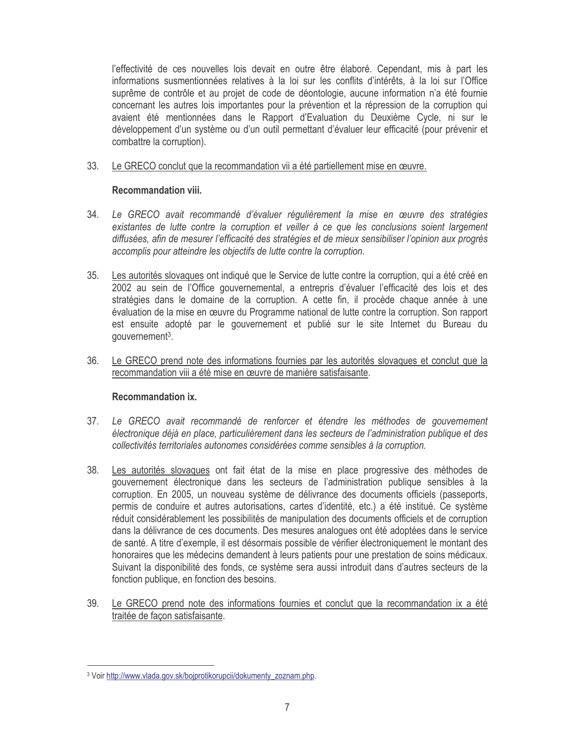l'effectivité de ces nouvelles lois devait en outre être élaboré. Cependant, mis à part les informations susmentionnées relatives à la loi sur les conflits d'intérêts, à la loi sur l'Office suprême de contrôle et au projet de code de déontologie, aucune information n'a été fournie concernant les autres lois importantes pour la prévention et la répression de la corruption qui avaient été mentionnées dans le Rapport d'Evaluation du Deuxième Cycle, ni sur le développement d'un système ou d'un outil permettant d'évaluer leur efficacité (pour prévenir et combattre la corruption).

 $33.$ Le GRECO conclut que la recommandation vii a été partiellement mise en œuvre.

## **Recommandation viii.**

- $34.$ Le GRECO avait recommandé d'évaluer réqulièrement la mise en œuvre des stratégies existantes de lutte contre la corruption et veiller à ce que les conclusions soient largement diffusées, afin de mesurer l'efficacité des stratégies et de mieux sensibiliser l'opinion aux progrès accomplis pour atteindre les objectifs de lutte contre la corruption.
- $35.$ Les autorités slovaques ont indiqué que le Service de lutte contre la corruption, qui a été créé en 2002 au sein de l'Office gouvernemental, a entrepris d'évaluer l'efficacité des lois et des stratégies dans le domaine de la corruption. A cette fin, il procède chaque année à une évaluation de la mise en œuvre du Programme national de lutte contre la corruption. Son rapport est ensuite adopté par le gouvernement et publié sur le site Internet du Bureau du gouvernement<sup>3</sup>.
- $36.$ Le GRECO prend note des informations fournies par les autorités slovaques et conclut que la recommandation viii a été mise en œuvre de manière satisfaisante.

# Recommandation ix.

- $37<sub>1</sub>$ Le GRECO avait recommandé de renforcer et étendre les méthodes de gouvernement électronique déjà en place, particulièrement dans les secteurs de l'administration publique et des collectivités territoriales autonomes considérées comme sensibles à la corruption.
- 38. Les autorités slovagues ont fait état de la mise en place progressive des méthodes de gouvernement électronique dans les secteurs de l'administration publique sensibles à la corruption. En 2005, un nouveau système de délivrance des documents officiels (passeports, permis de conduire et autres autorisations, cartes d'identité, etc.) a été institué. Ce système réduit considérablement les possibilités de manipulation des documents officiels et de corruption dans la délivrance de ces documents. Des mesures analogues ont été adoptées dans le service de santé. A titre d'exemple, il est désormais possible de vérifier électroniquement le montant des honoraires que les médecins demandent à leurs patients pour une prestation de soins médicaux. Suivant la disponibilité des fonds, ce système sera aussi introduit dans d'autres secteurs de la fonction publique, en fonction des besoins.
- 39. Le GRECO prend note des informations fournies et conclut que la recommandation ix a été traitée de facon satisfaisante.

<sup>&</sup>lt;sup>3</sup> Voir http://www.vlada.gov.sk/bojprotikorupcii/dokumenty\_zoznam.php.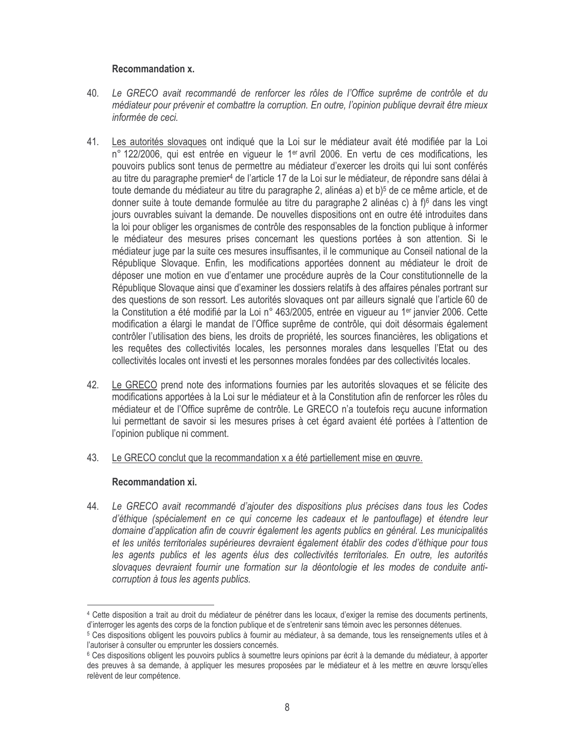# Recommandation x.

- Le GRECO avait recommandé de renforcer les rôles de l'Office suprême de contrôle et du 40. médiateur pour prévenir et combattre la corruption. En outre, l'opinion publique devrait être mieux informée de ceci.
- Les autorités slovaques ont indiqué que la Loi sur le médiateur avait été modifiée par la Loi 41. n° 122/2006, qui est entrée en vigueur le 1<sup>er</sup> avril 2006. En vertu de ces modifications, les pouvoirs publics sont tenus de permettre au médiateur d'exercer les droits qui lui sont conférés au titre du paragraphe premier<sup>4</sup> de l'article 17 de la Loi sur le médiateur, de répondre sans délai à toute demande du médiateur au titre du paragraphe 2, alinéas a) et b)<sup>5</sup> de ce même article, et de donner suite à toute demande formulée au titre du paragraphe 2 alinéas c) à f)<sup>6</sup> dans les vingt jours ouvrables suivant la demande. De nouvelles dispositions ont en outre été introduites dans la loi pour obliger les organismes de contrôle des responsables de la fonction publique à informer le médiateur des mesures prises concernant les questions portées à son attention. Si le médiateur juge par la suite ces mesures insuffisantes, il le communique au Conseil national de la République Slovaque. Enfin, les modifications apportées donnent au médiateur le droit de déposer une motion en vue d'entamer une procédure auprès de la Cour constitutionnelle de la République Slovaque ainsi que d'examiner les dossiers relatifs à des affaires pénales portrant sur des questions de son ressort. Les autorités slovagues ont par ailleurs signalé que l'article 60 de la Constitution a été modifié par la Loi n° 463/2005, entrée en viqueur au 1<sup>er</sup> janvier 2006. Cette modification a élargi le mandat de l'Office suprême de contrôle, qui doit désormais également contrôler l'utilisation des biens, les droits de propriété, les sources financières, les obligations et les requêtes des collectivités locales, les personnes morales dans lesquelles l'Etat ou des collectivités locales ont investi et les personnes morales fondées par des collectivités locales.
- 42. Le GRECO prend note des informations fournies par les autorités slovaques et se félicite des modifications apportées à la Loi sur le médiateur et à la Constitution afin de renforcer les rôles du médiateur et de l'Office suprême de contrôle. Le GRECO n'a toutefois reçu aucune information lui permettant de savoir si les mesures prises à cet égard avaient été portées à l'attention de l'opinion publique ni comment.
- 43. Le GRECO conclut que la recommandation x a été partiellement mise en œuvre.

# Recommandation xi.

44. Le GRECO avait recommandé d'ajouter des dispositions plus précises dans tous les Codes d'éthique (spécialement en ce qui concerne les cadeaux et le pantouflage) et étendre leur domaine d'application afin de couvrir également les agents publics en général. Les municipalités et les unités territoriales supérieures devraient également établir des codes d'éthique pour tous les agents publics et les agents élus des collectivités territoriales. En outre, les autorités slovaques devraient fournir une formation sur la déontologie et les modes de conduite anticorruption à tous les agents publics.

<sup>4</sup> Cette disposition a trait au droit du médiateur de pénétrer dans les locaux, d'exiger la remise des documents pertinents, d'interroger les agents des corps de la fonction publique et de s'entretenir sans témoin avec les personnes détenues.

<sup>&</sup>lt;sup>5</sup> Ces dispositions obligent les pouvoirs publics à fournir au médiateur, à sa demande, tous les renseignements utiles et à l'autoriser à consulter ou emprunter les dossiers concernés.

<sup>&</sup>lt;sup>6</sup> Ces dispositions obligent les pouvoirs publics à soumettre leurs opinions par écrit à la demande du médiateur, à apporter des preuves à sa demande, à appliquer les mesures proposées par le médiateur et à les mettre en œuvre lorsqu'elles relèvent de leur compétence.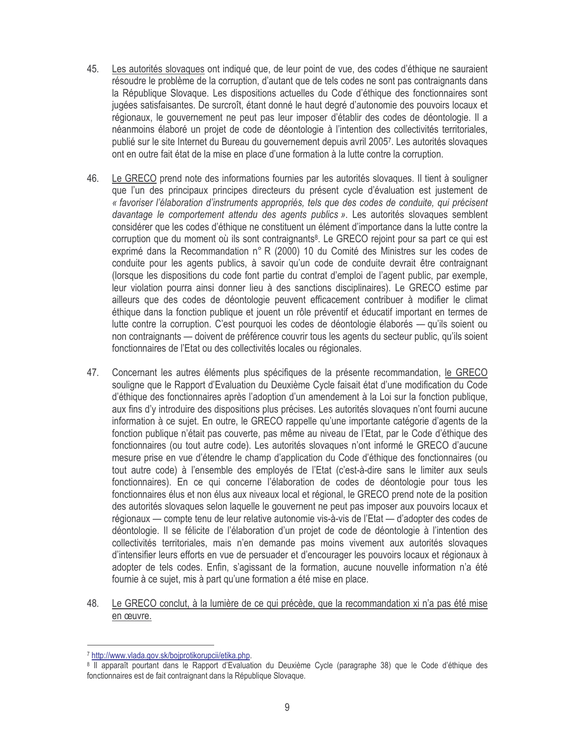- Les autorités slovagues ont indiqué que, de leur point de vue, des codes d'éthique ne sauraient 45. résoudre le problème de la corruption, d'autant que de tels codes ne sont pas contraignants dans la République Slovaque. Les dispositions actuelles du Code d'éthique des fonctionnaires sont jugées satisfaisantes. De surcroît, étant donné le haut degré d'autonomie des pouvoirs locaux et régionaux, le gouvernement ne peut pas leur imposer d'établir des codes de déontologie. Il a néanmoins élaboré un projet de code de déontologie à l'intention des collectivités territoriales. publié sur le site Internet du Bureau du gouvernement depuis avril 20057. Les autorités slovaques ont en outre fait état de la mise en place d'une formation à la lutte contre la corruption.
- 46 Le GRECO prend note des informations fournies par les autorités slovagues. Il tient à souligner que l'un des principaux principes directeurs du présent cycle d'évaluation est justement de « favoriser l'élaboration d'instruments appropriés, tels que des codes de conduite, qui précisent davantage le comportement attendu des agents publics ». Les autorités slovagues semblent considérer que les codes d'éthique ne constituent un élément d'importance dans la lutte contre la corruption que du moment où ils sont contraignants<sup>8</sup>. Le GRECO rejoint pour sa part ce qui est exprimé dans la Recommandation n° R (2000) 10 du Comité des Ministres sur les codes de conduite pour les agents publics, à savoir qu'un code de conduite devrait être contraignant (lorsque les dispositions du code font partie du contrat d'emploi de l'agent public, par exemple, leur violation pourra ainsi donner lieu à des sanctions disciplinaires). Le GRECO estime par ailleurs que des codes de déontologie peuvent efficacement contribuer à modifier le climat éthique dans la fonction publique et jouent un rôle préventif et éducatif important en termes de lutte contre la corruption. C'est pourquoi les codes de déontologie élaborés — qu'ils soient ou non contraignants — doivent de préférence couvrir tous les agents du secteur public, qu'ils soient fonctionnaires de l'Etat ou des collectivités locales ou régionales.
- 47. Concernant les autres éléments plus spécifiques de la présente recommandation, le GRECO souligne que le Rapport d'Evaluation du Deuxième Cycle faisait état d'une modification du Code d'éthique des fonctionnaires après l'adoption d'un amendement à la Loi sur la fonction publique, aux fins d'y introduire des dispositions plus précises. Les autorités slovaques n'ont fourni aucune information à ce sujet. En outre, le GRECO rappelle qu'une importante catégorie d'agents de la fonction publique n'était pas couverte, pas même au niveau de l'Etat, par le Code d'éthique des fonctionnaires (ou tout autre code). Les autorités slovagues n'ont informé le GRECO d'aucune mesure prise en vue d'étendre le champ d'application du Code d'éthique des fonctionnaires (ou tout autre code) à l'ensemble des employés de l'Etat (c'est-à-dire sans le limiter aux seuls fonctionnaires). En ce qui concerne l'élaboration de codes de déontologie pour tous les fonctionnaires élus et non élus aux niveaux local et régional, le GRECO prend note de la position des autorités slovaques selon laquelle le gouvernent ne peut pas imposer aux pouvoirs locaux et régionaux — compte tenu de leur relative autonomie vis-à-vis de l'Etat — d'adopter des codes de déontologie. Il se félicite de l'élaboration d'un projet de code de déontologie à l'intention des collectivités territoriales, mais n'en demande pas moins vivement aux autorités slovaques d'intensifier leurs efforts en vue de persuader et d'encourager les pouvoirs locaux et régionaux à adopter de tels codes. Enfin, s'agissant de la formation, aucune nouvelle information n'a été fournie à ce sujet, mis à part qu'une formation a été mise en place.
- Le GRECO conclut, à la lumière de ce qui précède, que la recommandation xi n'a pas été mise 48. en œuvre.

<sup>7</sup> http://www.vlada.gov.sk/bojprotikorupcii/etika.php.

<sup>8</sup> Il apparaît pourtant dans le Rapport d'Evaluation du Deuxième Cycle (paragraphe 38) que le Code d'éthique des fonctionnaires est de fait contraignant dans la République Slovaque.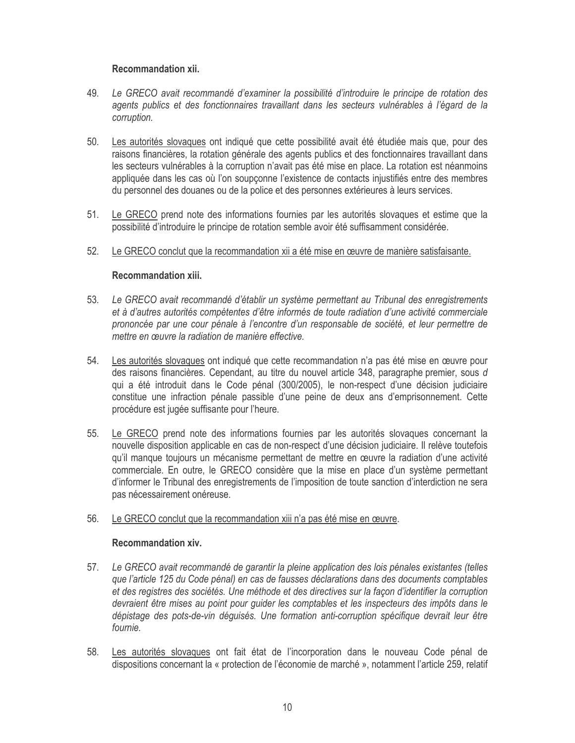# Recommandation xii.

- 49. Le GRECO avait recommandé d'examiner la possibilité d'introduire le principe de rotation des agents publics et des fonctionnaires travaillant dans les secteurs vulnérables à l'égard de la corruption.
- Les autorités slovaques ont indiqué que cette possibilité avait été étudiée mais que, pour des 50. raisons financières, la rotation générale des agents publics et des fonctionnaires travaillant dans les secteurs vulnérables à la corruption n'avait pas été mise en place. La rotation est néanmoins appliquée dans les cas où l'on soupconne l'existence de contacts injustifiés entre des membres du personnel des douanes ou de la police et des personnes extérieures à leurs services.
- $51.$ Le GRECO prend note des informations fournies par les autorités slovaques et estime que la possibilité d'introduire le principe de rotation semble avoir été suffisamment considérée.
- $52.$ Le GRECO conclut que la recommandation xii a été mise en œuvre de manière satisfaisante.

## **Recommandation xiii.**

- Le GRECO avait recommandé d'établir un système permettant au Tribunal des enregistrements 53. et à d'autres autorités compétentes d'être informés de toute radiation d'une activité commerciale prononcée par une cour pénale à l'encontre d'un responsable de société, et leur permettre de mettre en œuvre la radiation de manière effective.
- 54. Les autorités slovaques ont indiqué que cette recommandation n'a pas été mise en œuvre pour des raisons financières. Cependant, au titre du nouvel article 348, paragraphe premier, sous d qui a été introduit dans le Code pénal (300/2005), le non-respect d'une décision judiciaire constitue une infraction pénale passible d'une peine de deux ans d'emprisonnement. Cette procédure est jugée suffisante pour l'heure.
- 55. Le GRECO prend note des informations fournies par les autorités slovaques concernant la nouvelle disposition applicable en cas de non-respect d'une décision judiciaire. Il relève toutefois qu'il manque toujours un mécanisme permettant de mettre en œuvre la radiation d'une activité commerciale. En outre, le GRECO considère que la mise en place d'un système permettant d'informer le Tribunal des enregistrements de l'imposition de toute sanction d'interdiction ne sera pas nécessairement onéreuse.
- Le GRECO conclut que la recommandation xiii n'a pas été mise en œuvre.  $56.$

### **Recommandation xiv.**

- Le GRECO avait recommandé de garantir la pleine application des lois pénales existantes (telles 57. que l'article 125 du Code pénal) en cas de fausses déclarations dans des documents comptables et des registres des sociétés. Une méthode et des directives sur la façon d'identifier la corruption devraient être mises au point pour guider les comptables et les inspecteurs des impôts dans le dépistage des pots-de-vin déquisés. Une formation anti-corruption spécifique devrait leur être fournie.
- Les autorités slovaques ont fait état de l'incorporation dans le nouveau Code pénal de 58. dispositions concernant la « protection de l'économie de marché », notamment l'article 259, relatif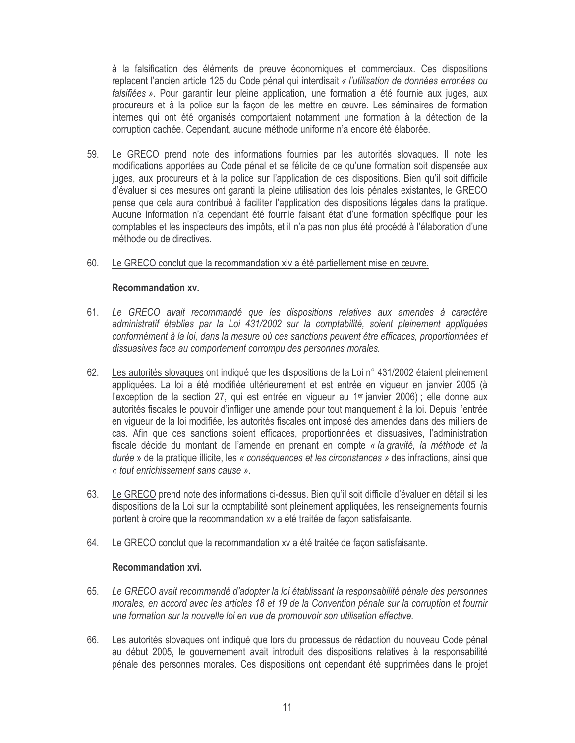à la falsification des éléments de preuve économiques et commerciaux. Ces dispositions replacent l'ancien article 125 du Code pénal qui interdisait « l'utilisation de données erronées ou falsifiées ». Pour garantir leur pleine application, une formation a été fournie aux juges, aux procureurs et à la police sur la façon de les mettre en œuvre. Les séminaires de formation internes qui ont été organisés comportaient notamment une formation à la détection de la corruption cachée. Cependant, aucune méthode uniforme n'a encore été élaborée.

- 59. Le GRECO prend note des informations fournies par les autorités slovaques. Il note les modifications apportées au Code pénal et se félicite de ce qu'une formation soit dispensée aux juges, aux procureurs et à la police sur l'application de ces dispositions. Bien qu'il soit difficile d'évaluer si ces mesures ont garanti la pleine utilisation des lois pénales existantes, le GRECO pense que cela aura contribué à faciliter l'application des dispositions légales dans la pratique. Aucune information n'a cependant été fournie faisant état d'une formation spécifique pour les comptables et les inspecteurs des impôts, et il n'a pas non plus été procédé à l'élaboration d'une méthode ou de directives.
- 60. Le GRECO conclut que la recommandation xiv a été partiellement mise en œuvre.

## Recommandation xv.

- 61. Le GRECO avait recommandé que les dispositions relatives aux amendes à caractère administratif établies par la Loi 431/2002 sur la comptabilité, soient pleinement appliquées conformément à la loi, dans la mesure où ces sanctions peuvent être efficaces, proportionnées et dissuasives face au comportement corrompu des personnes morales.
- 62. Les autorités slovaques ont indiqué que les dispositions de la Loi n° 431/2002 étaient pleinement appliquées. La loi a été modifiée ultérieurement et est entrée en viqueur en janvier 2005 (à l'exception de la section 27, qui est entrée en vigueur au 1<sup>er</sup> janvier 2006) ; elle donne aux autorités fiscales le pouvoir d'infliger une amende pour tout manquement à la loi. Depuis l'entrée en vigueur de la loi modifiée, les autorités fiscales ont imposé des amendes dans des milliers de cas. Afin que ces sanctions soient efficaces, proportionnées et dissuasives, l'administration fiscale décide du montant de l'amende en prenant en compte « la gravité, la méthode et la durée » de la pratique illicite, les « conséquences et les circonstances » des infractions, ainsi que « tout enrichissement sans cause ».
- 63. Le GRECO prend note des informations ci-dessus. Bien qu'il soit difficile d'évaluer en détail si les dispositions de la Loi sur la comptabilité sont pleinement appliquées, les renseignements fournis portent à croire que la recommandation xv a été traitée de façon satisfaisante.
- 64. Le GRECO conclut que la recommandation xv a été traitée de façon satisfaisante.

# Recommandation xvi.

- 65. Le GRECO avait recommandé d'adopter la loi établissant la responsabilité pénale des personnes morales, en accord avec les articles 18 et 19 de la Convention pénale sur la corruption et fournir une formation sur la nouvelle loi en vue de promouvoir son utilisation effective.
- 66. Les autorités slovaques ont indiqué que lors du processus de rédaction du nouveau Code pénal au début 2005, le gouvernement avait introduit des dispositions relatives à la responsabilité pénale des personnes morales. Ces dispositions ont cependant été supprimées dans le projet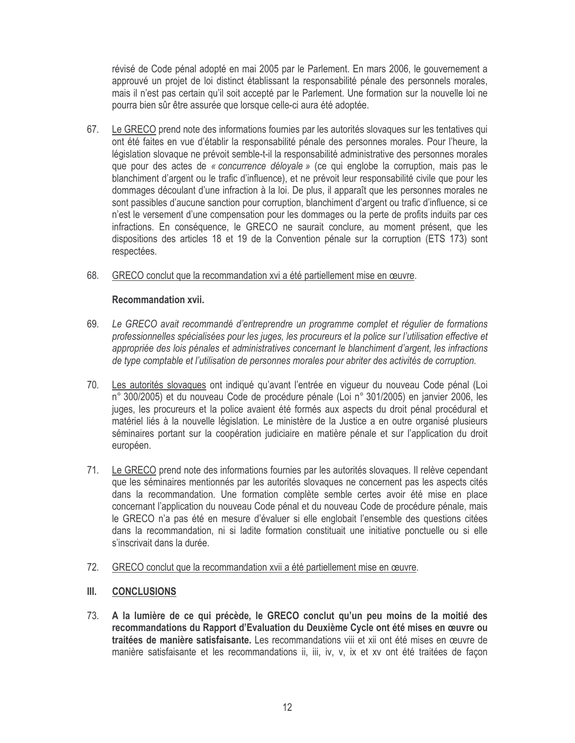révisé de Code pénal adopté en mai 2005 par le Parlement. En mars 2006, le gouvernement a approuvé un projet de loi distinct établissant la responsabilité pénale des personnels morales, mais il n'est pas certain qu'il soit accepté par le Parlement. Une formation sur la nouvelle loi ne pourra bien sûr être assurée que lorsque celle-ci aura été adoptée.

67. Le GRECO prend note des informations fournies par les autorités slovagues sur les tentatives qui ont été faites en vue d'établir la responsabilité pénale des personnes morales. Pour l'heure, la législation slovaque ne prévoit semble-t-il la responsabilité administrative des personnes morales que pour des actes de « concurrence délovale » (ce qui englobe la corruption, mais pas le blanchiment d'argent ou le trafic d'influence), et ne prévoit leur responsabilité civile que pour les dommages découlant d'une infraction à la loi. De plus, il apparaît que les personnes morales ne sont passibles d'aucune sanction pour corruption, blanchiment d'argent ou trafic d'influence, si ce n'est le versement d'une compensation pour les dommages ou la perte de profits induits par ces infractions. En conséquence, le GRECO ne saurait conclure, au moment présent, que les dispositions des articles 18 et 19 de la Convention pénale sur la corruption (ETS 173) sont respectées.

#### 68. GRECO conclut que la recommandation xvi a été partiellement mise en œuvre.

## **Recommandation xvii.**

- Le GRECO avait recommandé d'entreprendre un programme complet et régulier de formations 69. professionnelles spécialisées pour les juges, les procureurs et la police sur l'utilisation effective et appropriée des lois pénales et administratives concernant le blanchiment d'argent, les infractions de type comptable et l'utilisation de personnes morales pour abriter des activités de corruption.
- 70. Les autorités slovaques ont indiqué qu'avant l'entrée en vigueur du nouveau Code pénal (Loi n° 300/2005) et du nouveau Code de procédure pénale (Loi n° 301/2005) en janvier 2006, les juges, les procureurs et la police avaient été formés aux aspects du droit pénal procédural et matériel liés à la nouvelle législation. Le ministère de la Justice a en outre organisé plusieurs séminaires portant sur la coopération judiciaire en matière pénale et sur l'application du droit européen.
- $71.$ Le GRECO prend note des informations fournies par les autorités slovaques. Il relève cependant que les séminaires mentionnés par les autorités slovaques ne concernent pas les aspects cités dans la recommandation. Une formation complète semble certes avoir été mise en place concernant l'application du nouveau Code pénal et du nouveau Code de procédure pénale, mais le GRECO n'a pas été en mesure d'évaluer si elle englobait l'ensemble des questions citées dans la recommandation, ni si ladite formation constituait une initiative ponctuelle ou si elle s'inscrivait dans la durée.
- $72.$ GRECO conclut que la recommandation xvii a été partiellement mise en œuvre.

#### Ш. **CONCLUSIONS**

73. A la lumière de ce qui précède, le GRECO conclut qu'un peu moins de la moitié des recommandations du Rapport d'Evaluation du Deuxième Cycle ont été mises en œuvre ou traitées de manière satisfaisante. Les recommandations viii et xii ont été mises en œuvre de manière satisfaisante et les recommandations ii, iii, iv, v, ix et xv ont été traitées de façon